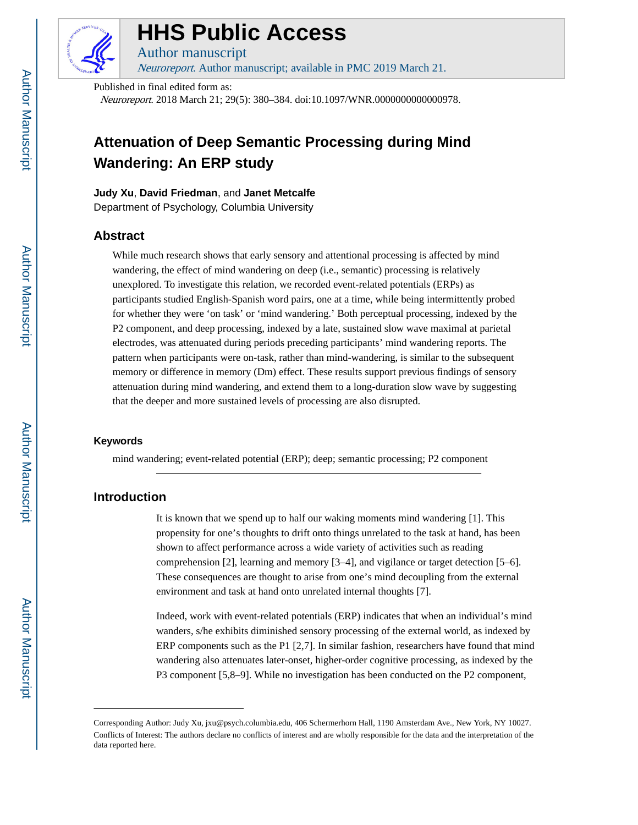

# **HHS Public Access**

Author manuscript Neuroreport. Author manuscript; available in PMC 2019 March 21.

Published in final edited form as: Neuroreport. 2018 March 21; 29(5): 380–384. doi:10.1097/WNR.0000000000000978.

## **Attenuation of Deep Semantic Processing during Mind Wandering: An ERP study**

#### **Judy Xu**, **David Friedman**, and **Janet Metcalfe**

Department of Psychology, Columbia University

## **Abstract**

While much research shows that early sensory and attentional processing is affected by mind wandering, the effect of mind wandering on deep (i.e., semantic) processing is relatively unexplored. To investigate this relation, we recorded event-related potentials (ERPs) as participants studied English-Spanish word pairs, one at a time, while being intermittently probed for whether they were 'on task' or 'mind wandering.' Both perceptual processing, indexed by the P2 component, and deep processing, indexed by a late, sustained slow wave maximal at parietal electrodes, was attenuated during periods preceding participants' mind wandering reports. The pattern when participants were on-task, rather than mind-wandering, is similar to the subsequent memory or difference in memory (Dm) effect. These results support previous findings of sensory attenuation during mind wandering, and extend them to a long-duration slow wave by suggesting that the deeper and more sustained levels of processing are also disrupted.

#### **Keywords**

mind wandering; event-related potential (ERP); deep; semantic processing; P2 component

## **Introduction**

It is known that we spend up to half our waking moments mind wandering [1]. This propensity for one's thoughts to drift onto things unrelated to the task at hand, has been shown to affect performance across a wide variety of activities such as reading comprehension [2], learning and memory [3–4], and vigilance or target detection [5–6]. These consequences are thought to arise from one's mind decoupling from the external environment and task at hand onto unrelated internal thoughts [7].

Indeed, work with event-related potentials (ERP) indicates that when an individual's mind wanders, s/he exhibits diminished sensory processing of the external world, as indexed by ERP components such as the P1 [2,7]. In similar fashion, researchers have found that mind wandering also attenuates later-onset, higher-order cognitive processing, as indexed by the P3 component [5,8–9]. While no investigation has been conducted on the P2 component,

Corresponding Author: Judy Xu, jxu@psych.columbia.edu, 406 Schermerhorn Hall, 1190 Amsterdam Ave., New York, NY 10027. Conflicts of Interest: The authors declare no conflicts of interest and are wholly responsible for the data and the interpretation of the data reported here.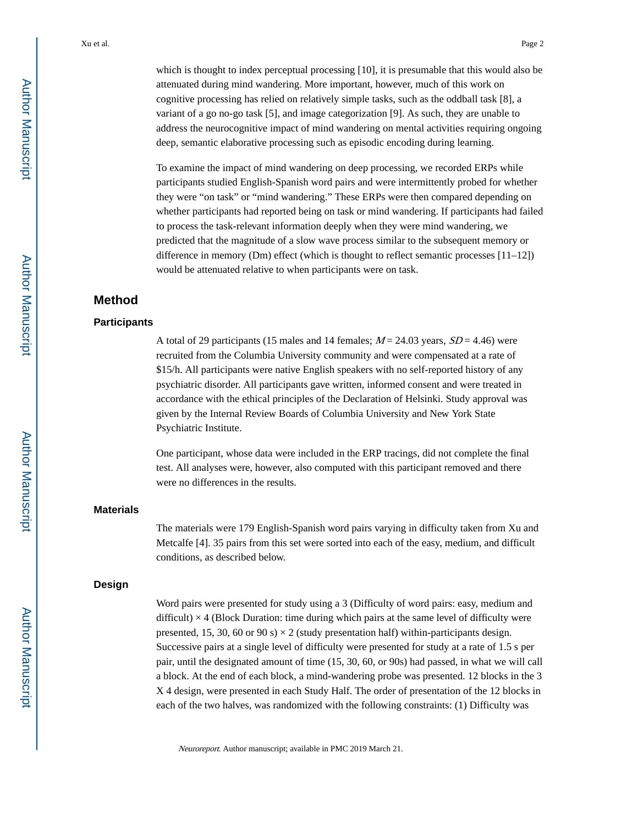which is thought to index perceptual processing [10], it is presumable that this would also be attenuated during mind wandering. More important, however, much of this work on cognitive processing has relied on relatively simple tasks, such as the oddball task [8], a variant of a go no-go task [5], and image categorization [9]. As such, they are unable to address the neurocognitive impact of mind wandering on mental activities requiring ongoing deep, semantic elaborative processing such as episodic encoding during learning.

To examine the impact of mind wandering on deep processing, we recorded ERPs while participants studied English-Spanish word pairs and were intermittently probed for whether they were "on task" or "mind wandering." These ERPs were then compared depending on whether participants had reported being on task or mind wandering. If participants had failed to process the task-relevant information deeply when they were mind wandering, we predicted that the magnitude of a slow wave process similar to the subsequent memory or difference in memory (Dm) effect (which is thought to reflect semantic processes [11–12]) would be attenuated relative to when participants were on task.

## **Method**

#### **Participants**

A total of 29 participants (15 males and 14 females;  $M = 24.03$  years,  $SD = 4.46$ ) were recruited from the Columbia University community and were compensated at a rate of \$15/h. All participants were native English speakers with no self-reported history of any psychiatric disorder. All participants gave written, informed consent and were treated in accordance with the ethical principles of the Declaration of Helsinki. Study approval was given by the Internal Review Boards of Columbia University and New York State Psychiatric Institute.

One participant, whose data were included in the ERP tracings, did not complete the final test. All analyses were, however, also computed with this participant removed and there were no differences in the results.

#### **Materials**

The materials were 179 English-Spanish word pairs varying in difficulty taken from Xu and Metcalfe [4]. 35 pairs from this set were sorted into each of the easy, medium, and difficult conditions, as described below.

#### **Design**

Word pairs were presented for study using a 3 (Difficulty of word pairs: easy, medium and difficult)  $\times$  4 (Block Duration: time during which pairs at the same level of difficulty were presented, 15, 30, 60 or 90 s)  $\times$  2 (study presentation half) within-participants design. Successive pairs at a single level of difficulty were presented for study at a rate of 1.5 s per pair, until the designated amount of time (15, 30, 60, or 90s) had passed, in what we will call a block. At the end of each block, a mind-wandering probe was presented. 12 blocks in the 3 X 4 design, were presented in each Study Half. The order of presentation of the 12 blocks in each of the two halves, was randomized with the following constraints: (1) Difficulty was

Neuroreport. Author manuscript; available in PMC 2019 March 21.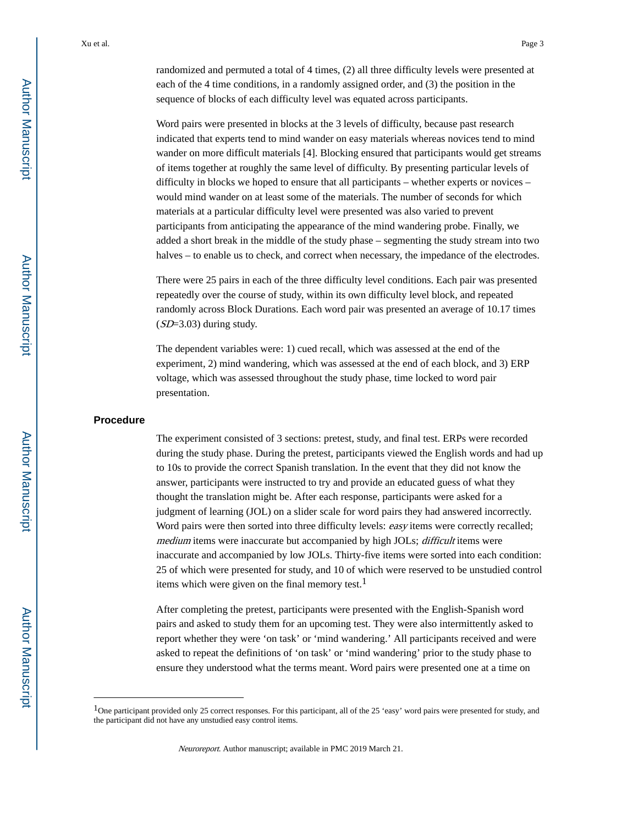randomized and permuted a total of 4 times, (2) all three difficulty levels were presented at each of the 4 time conditions, in a randomly assigned order, and (3) the position in the sequence of blocks of each difficulty level was equated across participants.

Word pairs were presented in blocks at the 3 levels of difficulty, because past research indicated that experts tend to mind wander on easy materials whereas novices tend to mind wander on more difficult materials [4]. Blocking ensured that participants would get streams of items together at roughly the same level of difficulty. By presenting particular levels of difficulty in blocks we hoped to ensure that all participants – whether experts or novices – would mind wander on at least some of the materials. The number of seconds for which materials at a particular difficulty level were presented was also varied to prevent participants from anticipating the appearance of the mind wandering probe. Finally, we added a short break in the middle of the study phase – segmenting the study stream into two halves – to enable us to check, and correct when necessary, the impedance of the electrodes.

There were 25 pairs in each of the three difficulty level conditions. Each pair was presented repeatedly over the course of study, within its own difficulty level block, and repeated randomly across Block Durations. Each word pair was presented an average of 10.17 times  $(SD=3.03)$  during study.

The dependent variables were: 1) cued recall, which was assessed at the end of the experiment, 2) mind wandering, which was assessed at the end of each block, and 3) ERP voltage, which was assessed throughout the study phase, time locked to word pair presentation.

#### **Procedure**

The experiment consisted of 3 sections: pretest, study, and final test. ERPs were recorded during the study phase. During the pretest, participants viewed the English words and had up to 10s to provide the correct Spanish translation. In the event that they did not know the answer, participants were instructed to try and provide an educated guess of what they thought the translation might be. After each response, participants were asked for a judgment of learning (JOL) on a slider scale for word pairs they had answered incorrectly. Word pairs were then sorted into three difficulty levels: easy items were correctly recalled; medium items were inaccurate but accompanied by high JOLs; *difficult* items were inaccurate and accompanied by low JOLs. Thirty-five items were sorted into each condition: 25 of which were presented for study, and 10 of which were reserved to be unstudied control items which were given on the final memory test.<sup>1</sup>

After completing the pretest, participants were presented with the English-Spanish word pairs and asked to study them for an upcoming test. They were also intermittently asked to report whether they were 'on task' or 'mind wandering.' All participants received and were asked to repeat the definitions of 'on task' or 'mind wandering' prior to the study phase to ensure they understood what the terms meant. Word pairs were presented one at a time on

<sup>&</sup>lt;sup>1</sup>One participant provided only 25 correct responses. For this participant, all of the 25 'easy' word pairs were presented for study, and the participant did not have any unstudied easy control items.

Neuroreport. Author manuscript; available in PMC 2019 March 21.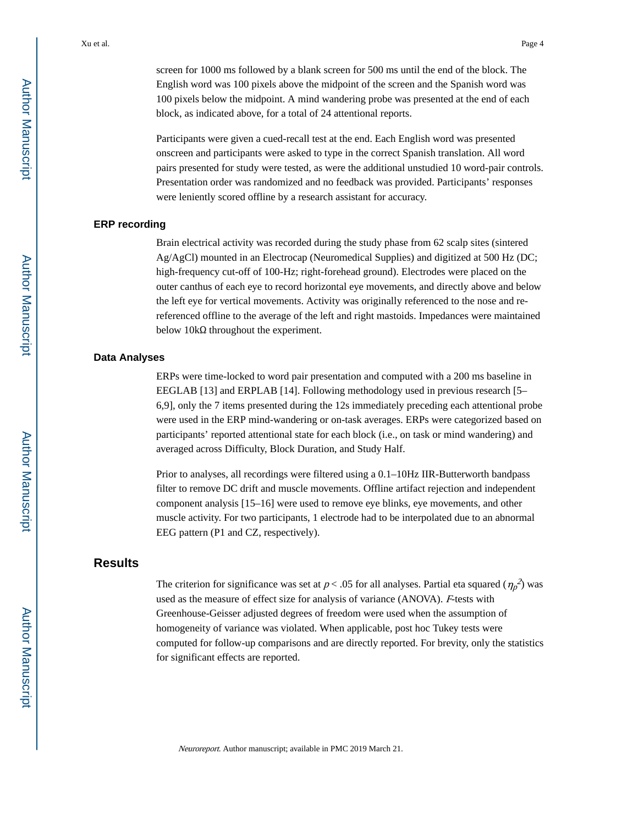screen for 1000 ms followed by a blank screen for 500 ms until the end of the block. The English word was 100 pixels above the midpoint of the screen and the Spanish word was 100 pixels below the midpoint. A mind wandering probe was presented at the end of each block, as indicated above, for a total of 24 attentional reports.

Participants were given a cued-recall test at the end. Each English word was presented onscreen and participants were asked to type in the correct Spanish translation. All word pairs presented for study were tested, as were the additional unstudied 10 word-pair controls. Presentation order was randomized and no feedback was provided. Participants' responses were leniently scored offline by a research assistant for accuracy.

#### **ERP recording**

Brain electrical activity was recorded during the study phase from 62 scalp sites (sintered Ag/AgCl) mounted in an Electrocap (Neuromedical Supplies) and digitized at 500 Hz (DC; high-frequency cut-off of 100-Hz; right-forehead ground). Electrodes were placed on the outer canthus of each eye to record horizontal eye movements, and directly above and below the left eye for vertical movements. Activity was originally referenced to the nose and rereferenced offline to the average of the left and right mastoids. Impedances were maintained below  $10kΩ$  throughout the experiment.

#### **Data Analyses**

ERPs were time-locked to word pair presentation and computed with a 200 ms baseline in EEGLAB [13] and ERPLAB [14]. Following methodology used in previous research [5– 6,9], only the 7 items presented during the 12s immediately preceding each attentional probe were used in the ERP mind-wandering or on-task averages. ERPs were categorized based on participants' reported attentional state for each block (i.e., on task or mind wandering) and averaged across Difficulty, Block Duration, and Study Half.

Prior to analyses, all recordings were filtered using a 0.1–10Hz IIR-Butterworth bandpass filter to remove DC drift and muscle movements. Offline artifact rejection and independent component analysis [15–16] were used to remove eye blinks, eye movements, and other muscle activity. For two participants, 1 electrode had to be interpolated due to an abnormal EEG pattern (P1 and CZ, respectively).

## **Results**

The criterion for significance was set at  $p < .05$  for all analyses. Partial eta squared  $(\eta_p^2)$  was used as the measure of effect size for analysis of variance (ANOVA). F-tests with Greenhouse-Geisser adjusted degrees of freedom were used when the assumption of homogeneity of variance was violated. When applicable, post hoc Tukey tests were computed for follow-up comparisons and are directly reported. For brevity, only the statistics for significant effects are reported.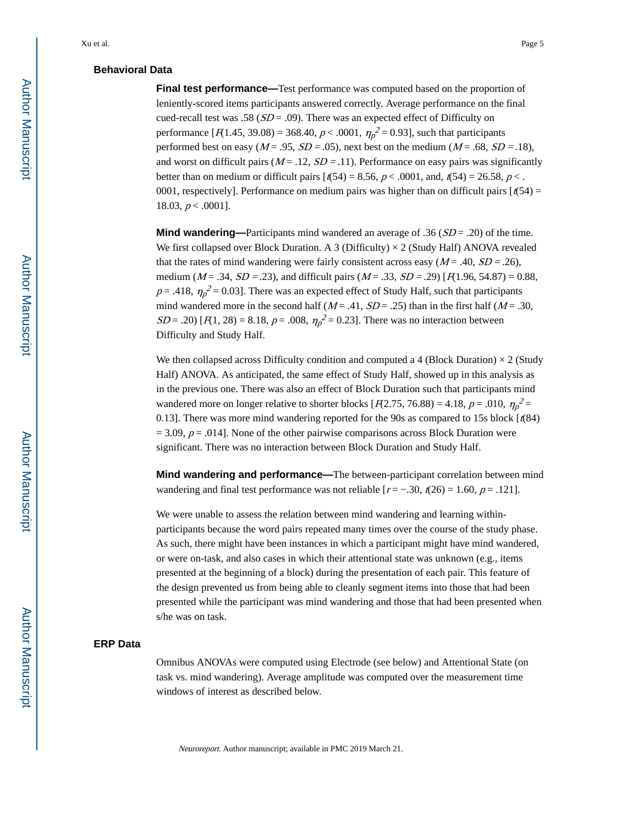#### **Behavioral Data**

**Final test performance—**Test performance was computed based on the proportion of leniently-scored items participants answered correctly. Average performance on the final cued-recall test was .58 ( $SD = .09$ ). There was an expected effect of Difficulty on performance  $[R1.45, 39.08) = 368.40, p < .0001, \eta_p^2 = 0.93]$ , such that participants performed best on easy ( $M = .95$ ,  $SD = .05$ ), next best on the medium ( $M = .68$ ,  $SD = .18$ ), and worst on difficult pairs ( $M = .12$ ,  $SD = .11$ ). Performance on easy pairs was significantly better than on medium or difficult pairs  $\lbrack \ell(54) = 8.56, p < .0001, \text{ and } \ell(54) = 26.58, p < .$ 0001, respectively]. Performance on medium pairs was higher than on difficult pairs  $f(54) =$ 18.03,  $p < .0001$ ].

**Mind wandering—**Participants mind wandered an average of .36  $(SD = .20)$  of the time. We first collapsed over Block Duration. A 3 (Difficulty)  $\times$  2 (Study Half) ANOVA revealed that the rates of mind wandering were fairly consistent across easy ( $M = .40$ ,  $SD = .26$ ), medium ( $M = .34$ ,  $SD = .23$ ), and difficult pairs ( $M = .33$ ,  $SD = .29$ ) [ $F(1.96, 54.87) = 0.88$ ,  $p = .418$ ,  $\eta_p^2 = 0.03$ . There was an expected effect of Study Half, such that participants mind wandered more in the second half  $(M = .41, SD = .25)$  than in the first half  $(M = .30,$  $SD = .20$  [ $F(1, 28) = 8.18$ ,  $p = .008$ ,  $\eta_p^2 = 0.23$ ]. There was no interaction between Difficulty and Study Half.

We then collapsed across Difficulty condition and computed a 4 (Block Duration)  $\times$  2 (Study Half) ANOVA. As anticipated, the same effect of Study Half, showed up in this analysis as in the previous one. There was also an effect of Block Duration such that participants mind wandered more on longer relative to shorter blocks [ $F(2.75, 76.88) = 4.18$ ,  $p = .010$ ,  $\eta_p^2 =$ 0.13]. There was more mind wandering reported for the 90s as compared to 15s block  $\lceil \frac{t(84)}{1} \rceil$  $= 3.09$ ,  $p = .014$ ]. None of the other pairwise comparisons across Block Duration were significant. There was no interaction between Block Duration and Study Half.

**Mind wandering and performance—**The between-participant correlation between mind wandering and final test performance was not reliable  $[r = -.30, t(26) = 1.60, p = .121]$ .

We were unable to assess the relation between mind wandering and learning withinparticipants because the word pairs repeated many times over the course of the study phase. As such, there might have been instances in which a participant might have mind wandered, or were on-task, and also cases in which their attentional state was unknown (e.g., items presented at the beginning of a block) during the presentation of each pair. This feature of the design prevented us from being able to cleanly segment items into those that had been presented while the participant was mind wandering and those that had been presented when s/he was on task.

#### **ERP Data**

Omnibus ANOVAs were computed using Electrode (see below) and Attentional State (on task vs. mind wandering). Average amplitude was computed over the measurement time windows of interest as described below.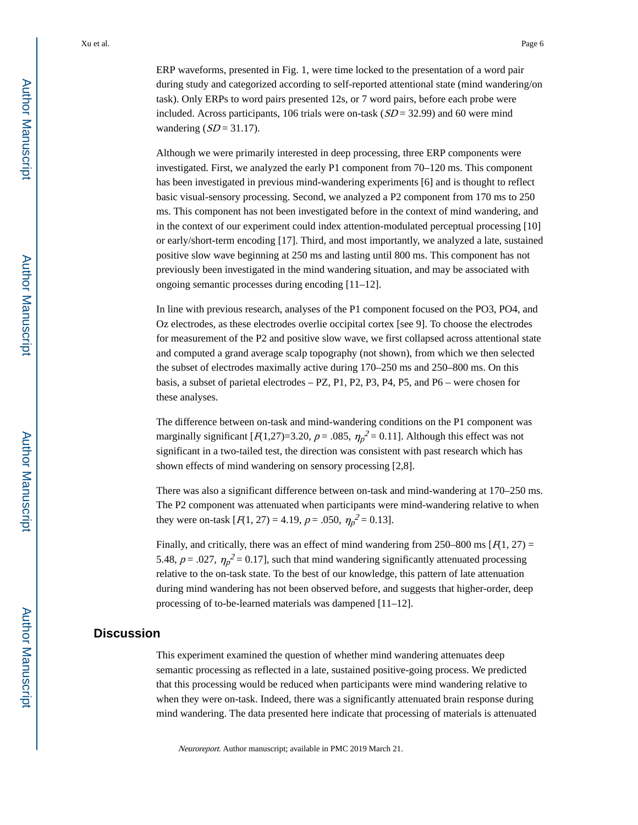ERP waveforms, presented in Fig. 1, were time locked to the presentation of a word pair during study and categorized according to self-reported attentional state (mind wandering/on task). Only ERPs to word pairs presented 12s, or 7 word pairs, before each probe were included. Across participants, 106 trials were on-task  $(SD = 32.99)$  and 60 were mind wandering  $(SD = 31.17)$ .

Although we were primarily interested in deep processing, three ERP components were investigated. First, we analyzed the early P1 component from 70–120 ms. This component has been investigated in previous mind-wandering experiments [6] and is thought to reflect basic visual-sensory processing. Second, we analyzed a P2 component from 170 ms to 250 ms. This component has not been investigated before in the context of mind wandering, and in the context of our experiment could index attention-modulated perceptual processing [10] or early/short-term encoding [17]. Third, and most importantly, we analyzed a late, sustained positive slow wave beginning at 250 ms and lasting until 800 ms. This component has not previously been investigated in the mind wandering situation, and may be associated with ongoing semantic processes during encoding [11–12].

In line with previous research, analyses of the P1 component focused on the PO3, PO4, and Oz electrodes, as these electrodes overlie occipital cortex [see 9]. To choose the electrodes for measurement of the P2 and positive slow wave, we first collapsed across attentional state and computed a grand average scalp topography (not shown), from which we then selected the subset of electrodes maximally active during 170–250 ms and 250–800 ms. On this basis, a subset of parietal electrodes – PZ, P1, P2, P3, P4, P5, and P6 – were chosen for these analyses.

The difference between on-task and mind-wandering conditions on the P1 component was marginally significant [ $F(1,27)=3.20$ ,  $p=.085$ ,  $\eta_p^2=0.11$ ]. Although this effect was not significant in a two-tailed test, the direction was consistent with past research which has shown effects of mind wandering on sensory processing [2,8].

There was also a significant difference between on-task and mind-wandering at 170–250 ms. The P2 component was attenuated when participants were mind-wandering relative to when they were on-task  $[R(1, 27) = 4.19, p = .050, \eta_p^2 = 0.13]$ .

Finally, and critically, there was an effect of mind wandering from 250–800 ms  $[F(1, 27) =$ 5.48,  $p = .027$ ,  $\eta_p^2 = 0.17$ , such that mind wandering significantly attenuated processing relative to the on-task state. To the best of our knowledge, this pattern of late attenuation during mind wandering has not been observed before, and suggests that higher-order, deep processing of to-be-learned materials was dampened [11–12].

#### **Discussion**

This experiment examined the question of whether mind wandering attenuates deep semantic processing as reflected in a late, sustained positive-going process. We predicted that this processing would be reduced when participants were mind wandering relative to when they were on-task. Indeed, there was a significantly attenuated brain response during mind wandering. The data presented here indicate that processing of materials is attenuated

Neuroreport. Author manuscript; available in PMC 2019 March 21.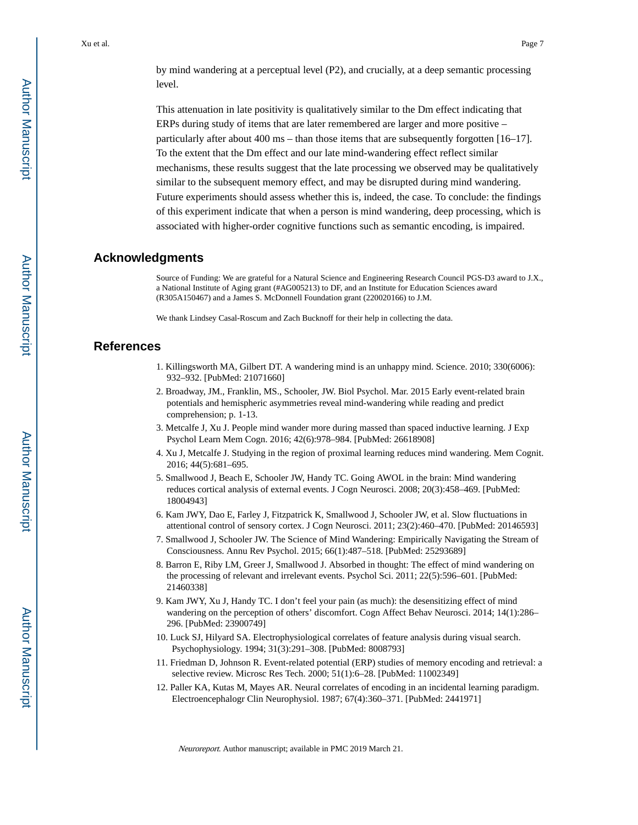This attenuation in late positivity is qualitatively similar to the Dm effect indicating that ERPs during study of items that are later remembered are larger and more positive – particularly after about 400 ms – than those items that are subsequently forgotten [16–17]. To the extent that the Dm effect and our late mind-wandering effect reflect similar mechanisms, these results suggest that the late processing we observed may be qualitatively similar to the subsequent memory effect, and may be disrupted during mind wandering. Future experiments should assess whether this is, indeed, the case. To conclude: the findings of this experiment indicate that when a person is mind wandering, deep processing, which is associated with higher-order cognitive functions such as semantic encoding, is impaired.

## **Acknowledgments**

Source of Funding: We are grateful for a Natural Science and Engineering Research Council PGS-D3 award to J.X., a National Institute of Aging grant (#AG005213) to DF, and an Institute for Education Sciences award (R305A150467) and a James S. McDonnell Foundation grant (220020166) to J.M.

We thank Lindsey Casal-Roscum and Zach Bucknoff for their help in collecting the data.

#### **References**

- 1. Killingsworth MA, Gilbert DT. A wandering mind is an unhappy mind. Science. 2010; 330(6006): 932–932. [PubMed: 21071660]
- 2. Broadway, JM., Franklin, MS., Schooler, JW. Biol Psychol. Mar. 2015 Early event-related brain potentials and hemispheric asymmetries reveal mind-wandering while reading and predict comprehension; p. 1-13.
- 3. Metcalfe J, Xu J. People mind wander more during massed than spaced inductive learning. J Exp Psychol Learn Mem Cogn. 2016; 42(6):978–984. [PubMed: 26618908]
- 4. Xu J, Metcalfe J. Studying in the region of proximal learning reduces mind wandering. Mem Cognit. 2016; 44(5):681–695.
- 5. Smallwood J, Beach E, Schooler JW, Handy TC. Going AWOL in the brain: Mind wandering reduces cortical analysis of external events. J Cogn Neurosci. 2008; 20(3):458–469. [PubMed: 18004943]
- 6. Kam JWY, Dao E, Farley J, Fitzpatrick K, Smallwood J, Schooler JW, et al. Slow fluctuations in attentional control of sensory cortex. J Cogn Neurosci. 2011; 23(2):460–470. [PubMed: 20146593]
- 7. Smallwood J, Schooler JW. The Science of Mind Wandering: Empirically Navigating the Stream of Consciousness. Annu Rev Psychol. 2015; 66(1):487–518. [PubMed: 25293689]
- 8. Barron E, Riby LM, Greer J, Smallwood J. Absorbed in thought: The effect of mind wandering on the processing of relevant and irrelevant events. Psychol Sci. 2011; 22(5):596–601. [PubMed: 21460338]
- 9. Kam JWY, Xu J, Handy TC. I don't feel your pain (as much): the desensitizing effect of mind wandering on the perception of others' discomfort. Cogn Affect Behav Neurosci. 2014; 14(1):286– 296. [PubMed: 23900749]
- 10. Luck SJ, Hilyard SA. Electrophysiological correlates of feature analysis during visual search. Psychophysiology. 1994; 31(3):291–308. [PubMed: 8008793]
- 11. Friedman D, Johnson R. Event-related potential (ERP) studies of memory encoding and retrieval: a selective review. Microsc Res Tech. 2000; 51(1):6–28. [PubMed: 11002349]
- 12. Paller KA, Kutas M, Mayes AR. Neural correlates of encoding in an incidental learning paradigm. Electroencephalogr Clin Neurophysiol. 1987; 67(4):360–371. [PubMed: 2441971]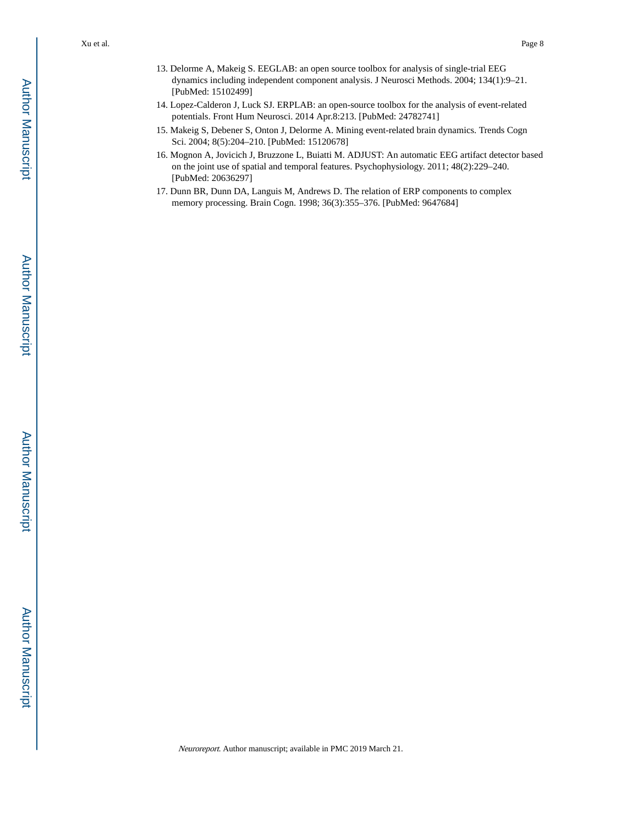- 13. Delorme A, Makeig S. EEGLAB: an open source toolbox for analysis of single-trial EEG dynamics including independent component analysis. J Neurosci Methods. 2004; 134(1):9–21. [PubMed: 15102499]
- 14. Lopez-Calderon J, Luck SJ. ERPLAB: an open-source toolbox for the analysis of event-related potentials. Front Hum Neurosci. 2014 Apr.8:213. [PubMed: 24782741]
- 15. Makeig S, Debener S, Onton J, Delorme A. Mining event-related brain dynamics. Trends Cogn Sci. 2004; 8(5):204–210. [PubMed: 15120678]
- 16. Mognon A, Jovicich J, Bruzzone L, Buiatti M. ADJUST: An automatic EEG artifact detector based on the joint use of spatial and temporal features. Psychophysiology. 2011; 48(2):229–240. [PubMed: 20636297]
- 17. Dunn BR, Dunn DA, Languis M, Andrews D. The relation of ERP components to complex memory processing. Brain Cogn. 1998; 36(3):355–376. [PubMed: 9647684]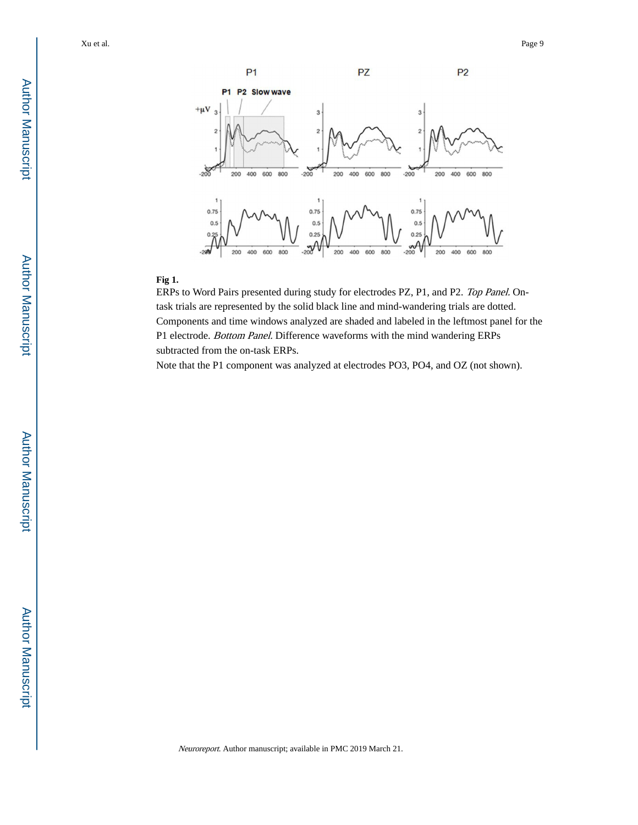

#### **Fig 1.**

ERPs to Word Pairs presented during study for electrodes PZ, P1, and P2. Top Panel. Ontask trials are represented by the solid black line and mind-wandering trials are dotted. Components and time windows analyzed are shaded and labeled in the leftmost panel for the P1 electrode. Bottom Panel. Difference waveforms with the mind wandering ERPs subtracted from the on-task ERPs.

Note that the P1 component was analyzed at electrodes PO3, PO4, and OZ (not shown).